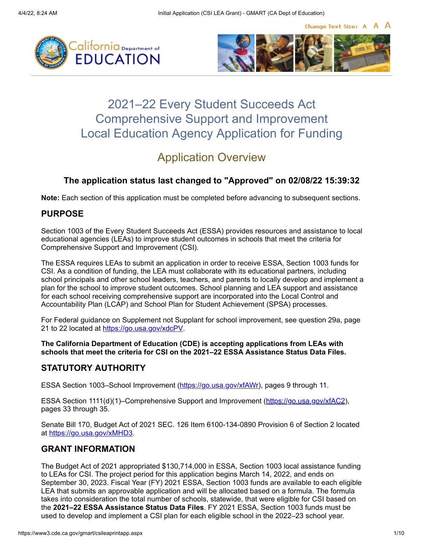Change Text Size: A A A





# 2021–22 Every Student Succeeds Act Comprehensive Support and Improvement Local Education Agency Application for Funding

# Application Overview

### **The application status last changed to "Approved" on 02/08/22 15:39:32**

**Note:** Each section of this application must be completed before advancing to subsequent sections.

### **PURPOSE**

Section 1003 of the Every Student Succeeds Act (ESSA) provides resources and assistance to local educational agencies (LEAs) to improve student outcomes in schools that meet the criteria for Comprehensive Support and Improvement (CSI).

The ESSA requires LEAs to submit an application in order to receive ESSA, Section 1003 funds for CSI. As a condition of funding, the LEA must collaborate with its educational partners, including school principals and other school leaders, teachers, and parents to locally develop and implement a plan for the school to improve student outcomes. School planning and LEA support and assistance for each school receiving comprehensive support are incorporated into the Local Control and Accountability Plan (LCAP) and School Plan for Student Achievement (SPSA) processes.

For Federal guidance on Supplement not Supplant for school improvement, see question 29a, page 21 to 22 located at <https://go.usa.gov/xdcPV>.

**The California Department of Education (CDE) is accepting applications from LEAs with schools that meet the criteria for CSI on the 2021–22 ESSA Assistance Status Data Files.**

### **STATUTORY AUTHORITY**

ESSA Section 1003–School Improvement [\(https://go.usa.gov/xfAWr](https://go.usa.gov/xfAWr)), pages 9 through 11.

ESSA Section 1111(d)(1)–Comprehensive Support and Improvement [\(https://go.usa.gov/xfAC2\)](https://go.usa.gov/xfAC2), pages 33 through 35.

Senate Bill 170, Budget Act of 2021 SEC. 126 Item 6100-134-0890 Provision 6 of Section 2 located at<https://go.usa.gov/xMHD3>.

### **GRANT INFORMATION**

The Budget Act of 2021 appropriated \$130,714,000 in ESSA, Section 1003 local assistance funding to LEAs for CSI. The project period for this application begins March 14, 2022, and ends on September 30, 2023. Fiscal Year (FY) 2021 ESSA, Section 1003 funds are available to each eligible LEA that submits an approvable application and will be allocated based on a formula. The formula takes into consideration the total number of schools, statewide, that were eligible for CSI based on the **2021–22 ESSA Assistance Status Data Files**. FY 2021 ESSA, Section 1003 funds must be used to develop and implement a CSI plan for each eligible school in the 2022–23 school year.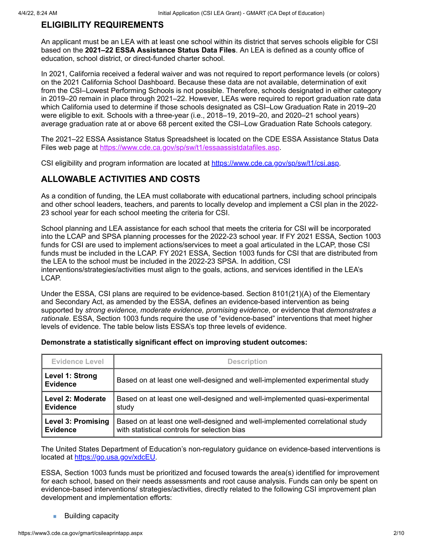#### **ELIGIBILITY REQUIREMENTS**

An applicant must be an LEA with at least one school within its district that serves schools eligible for CSI based on the **2021–22 ESSA Assistance Status Data Files**. An LEA is defined as a county office of education, school district, or direct-funded charter school.

In 2021, California received a federal waiver and was not required to report performance levels (or colors) on the 2021 California School Dashboard. Because these data are not available, determination of exit from the CSI–Lowest Performing Schools is not possible. Therefore, schools designated in either category in 2019–20 remain in place through 2021–22. However, LEAs were required to report graduation rate data which California used to determine if those schools designated as CSI–Low Graduation Rate in 2019–20 were eligible to exit. Schools with a three-year (i.e., 2018–19, 2019–20, and 2020–21 school years) average graduation rate at or above 68 percent exited the CSI–Low Graduation Rate Schools category.

The 2021–22 ESSA Assistance Status Spreadsheet is located on the CDE ESSA Assistance Status Data Files web page at [https://www.cde.ca.gov/sp/sw/t1/essaassistdatafiles.asp.](https://www.cde.ca.gov/sp/sw/t1/essaassistdatafiles.asp)

CSI eligibility and program information are located at [https://www.cde.ca.gov/sp/sw/t1/csi.asp.](https://www.cde.ca.gov/sp/sw/t1/csi.asp)

### **ALLOWABLE ACTIVITIES AND COSTS**

As a condition of funding, the LEA must collaborate with educational partners, including school principals and other school leaders, teachers, and parents to locally develop and implement a CSI plan in the 2022- 23 school year for each school meeting the criteria for CSI.

School planning and LEA assistance for each school that meets the criteria for CSI will be incorporated into the LCAP and SPSA planning processes for the 2022-23 school year. If FY 2021 ESSA, Section 1003 funds for CSI are used to implement actions/services to meet a goal articulated in the LCAP, those CSI funds must be included in the LCAP. FY 2021 ESSA, Section 1003 funds for CSI that are distributed from the LEA to the school must be included in the 2022-23 SPSA. In addition, CSI interventions/strategies/activities must align to the goals, actions, and services identified in the LEA's LCAP.

Under the ESSA, CSI plans are required to be evidence-based. Section 8101(21)(A) of the Elementary and Secondary Act, as amended by the ESSA, defines an evidence-based intervention as being supported by *strong evidence, moderate evidence, promising evidence*, or evidence that *demonstrates a rationale*. ESSA, Section 1003 funds require the use of "evidence-based" interventions that meet higher levels of evidence. The table below lists ESSA's top three levels of evidence.

| <b>Evidence Level</b>              | <b>Description</b>                                                           |  |
|------------------------------------|------------------------------------------------------------------------------|--|
| Level 1: Strong<br><b>Evidence</b> | Based on at least one well-designed and well-implemented experimental study  |  |
| Level 2: Moderate                  | Based on at least one well-designed and well-implemented quasi-experimental  |  |
| <b>Evidence</b>                    | study                                                                        |  |
| <b>Level 3: Promising</b>          | Based on at least one well-designed and well-implemented correlational study |  |
| <b>Evidence</b>                    | with statistical controls for selection bias                                 |  |

#### **Demonstrate a statistically significant effect on improving student outcomes:**

The United States Department of Education's non-regulatory guidance on evidence-based interventions is located at [https://go.usa.gov/xdcEU.](https://go.usa.gov/xdcEU)

ESSA, Section 1003 funds must be prioritized and focused towards the area(s) identified for improvement for each school, based on their needs assessments and root cause analysis. Funds can only be spent on evidence-based interventions/ strategies/activities, directly related to the following CSI improvement plan development and implementation efforts:

Building capacitym,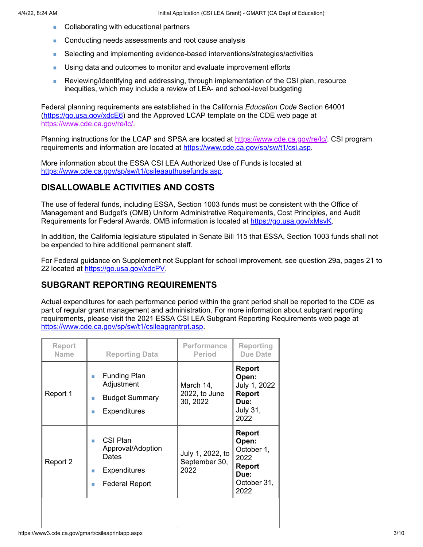- Collaborating with educational partners Ē.
- Ē. Conducting needs assessments and root cause analysis
- Selecting and implementing evidence-based interventions/strategies/activities Ì.
- i. Using data and outcomes to monitor and evaluate improvement efforts
- Reviewing/identifying and addressing, through implementation of the CSI plan, resource ä, inequities, which may include a review of LEA- and school-level budgeting

Federal planning requirements are established in the California *Education Code* Section 64001 [\(https://go.usa.gov/xdcE6](https://go.usa.gov/xdcE6)) and the Approved LCAP template on the CDE web page at <https://www.cde.ca.gov/re/lc/>.

Planning instructions for the LCAP and SPSA are located at [https://www.cde.ca.gov/re/lc/.](https://www.cde.ca.gov/re/lc/) CSI program requirements and information are located at<https://www.cde.ca.gov/sp/sw/t1/csi.asp>.

More information about the ESSA CSI LEA Authorized Use of Funds is located at <https://www.cde.ca.gov/sp/sw/t1/csileaauthusefunds.asp>.

### **DISALLOWABLE ACTIVITIES AND COSTS**

The use of federal funds, including ESSA, Section 1003 funds must be consistent with the Office of Management and Budget's (OMB) Uniform Administrative Requirements, Cost Principles, and Audit Requirements for Federal Awards. OMB information is located at <https://go.usa.gov/xMsvK>.

In addition, the California legislature stipulated in Senate Bill 115 that ESSA, Section 1003 funds shall not be expended to hire additional permanent staff.

For Federal guidance on Supplement not Supplant for school improvement, see question 29a, pages 21 to 22 located at [https://go.usa.gov/xdcPV.](https://go.usa.gov/xdcPV)

### **SUBGRANT REPORTING REQUIREMENTS**

Actual expenditures for each performance period within the grant period shall be reported to the CDE as part of regular grant management and administration. For more information about subgrant reporting requirements, please visit the 2021 ESSA CSI LEA Subgrant Reporting Requirements web page at <https://www.cde.ca.gov/sp/sw/t1/csileagrantrpt.asp>.

| <b>Funding Plan</b><br>×<br>Adjustment<br>March 14,                                                                                                       | <b>Report</b>                                                                                |
|-----------------------------------------------------------------------------------------------------------------------------------------------------------|----------------------------------------------------------------------------------------------|
| 2022, to June<br>Report 1<br><b>Budget Summary</b><br>п<br>30, 2022<br><b>Expenditures</b>                                                                | Open:<br>July 1, 2022<br><b>Report</b><br>Due:<br><b>July 31,</b><br>2022                    |
| CSI Plan<br>Approval/Adoption<br>July 1, 2022, to<br>Dates<br>September 30,<br>Report 2<br>2022<br><b>Expenditures</b><br>п<br><b>Federal Report</b><br>п | <b>Report</b><br>Open:<br>October 1,<br>2022<br><b>Report</b><br>Due:<br>October 31,<br>2022 |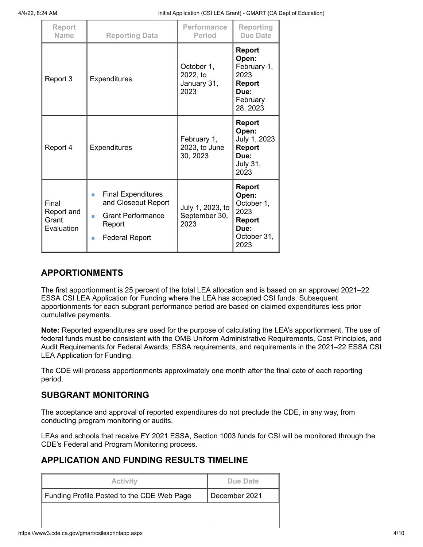4/4/22, 8:24 AM Initial Application (CSI LEA Grant) - GMART (CA Dept of Education)

| Report<br><b>Name</b>                      | <b>Reporting Data</b>                                                                                                          | Performance<br><b>Period</b>                  | Reporting<br><b>Due Date</b>                                                                 |
|--------------------------------------------|--------------------------------------------------------------------------------------------------------------------------------|-----------------------------------------------|----------------------------------------------------------------------------------------------|
| Report 3                                   | <b>Expenditures</b>                                                                                                            | October 1,<br>2022, to<br>January 31,<br>2023 | <b>Report</b><br>Open:<br>February 1,<br>2023<br>Report<br>Due:<br>February<br>28, 2023      |
| Report 4                                   | <b>Expenditures</b>                                                                                                            | February 1,<br>2023, to June<br>30, 2023      | <b>Report</b><br>Open:<br>July 1, 2023<br><b>Report</b><br>Due:<br><b>July 31,</b><br>2023   |
| Final<br>Report and<br>Grant<br>Evaluation | <b>Final Expenditures</b><br>ш<br>and Closeout Report<br><b>Grant Performance</b><br>п<br>Report<br><b>Federal Report</b><br>п | July 1, 2023, to<br>September 30,<br>2023     | <b>Report</b><br>Open:<br>October 1,<br>2023<br><b>Report</b><br>Due:<br>October 31,<br>2023 |

### **APPORTIONMENTS**

The first apportionment is 25 percent of the total LEA allocation and is based on an approved 2021–22 ESSA CSI LEA Application for Funding where the LEA has accepted CSI funds. Subsequent apportionments for each subgrant performance period are based on claimed expenditures less prior cumulative payments.

**Note:** Reported expenditures are used for the purpose of calculating the LEA's apportionment. The use of federal funds must be consistent with the OMB Uniform Administrative Requirements, Cost Principles, and Audit Requirements for Federal Awards; ESSA requirements, and requirements in the 2021–22 ESSA CSI LEA Application for Funding.

The CDE will process apportionments approximately one month after the final date of each reporting period.

#### **SUBGRANT MONITORING**

The acceptance and approval of reported expenditures do not preclude the CDE, in any way, from conducting program monitoring or audits.

LEAs and schools that receive FY 2021 ESSA, Section 1003 funds for CSI will be monitored through the CDE's Federal and Program Monitoring process.

### **APPLICATION AND FUNDING RESULTS TIMELINE**

| <b>Activity</b>                            | Due Date      |
|--------------------------------------------|---------------|
| Funding Profile Posted to the CDE Web Page | December 2021 |
|                                            |               |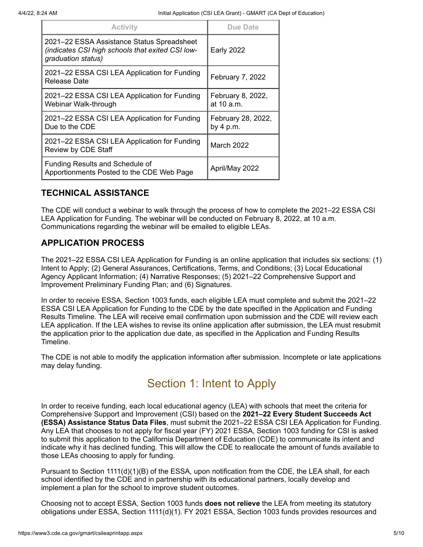| <b>Activity</b>                                                                                                      | Due Date                          |
|----------------------------------------------------------------------------------------------------------------------|-----------------------------------|
| 2021–22 ESSA Assistance Status Spreadsheet<br>(indicates CSI high schools that exited CSI low-<br>graduation status) | <b>Early 2022</b>                 |
| 2021-22 ESSA CSI LEA Application for Funding<br>Release Date                                                         | February 7, 2022                  |
| 2021-22 ESSA CSI LEA Application for Funding<br>Webinar Walk-through                                                 | February 8, 2022,<br>at 10 a.m.   |
| 2021-22 ESSA CSI LEA Application for Funding<br>Due to the CDE                                                       | February 28, 2022,<br>by $4 p.m.$ |
| 2021-22 ESSA CSI LEA Application for Funding<br>Review by CDE Staff                                                  | <b>March 2022</b>                 |
| <b>Funding Results and Schedule of</b><br>Apportionments Posted to the CDE Web Page                                  | April/May 2022                    |

### **TECHNICAL ASSISTANCE**

The CDE will conduct a webinar to walk through the process of how to complete the 2021–22 ESSA CSI LEA Application for Funding. The webinar will be conducted on February 8, 2022, at 10 a.m. Communications regarding the webinar will be emailed to eligible LEAs.

### **APPLICATION PROCESS**

The 2021–22 ESSA CSI LEA Application for Funding is an online application that includes six sections: (1) Intent to Apply; (2) General Assurances, Certifications, Terms, and Conditions; (3) Local Educational Agency Applicant Information; (4) Narrative Responses; (5) 2021–22 Comprehensive Support and Improvement Preliminary Funding Plan; and (6) Signatures.

In order to receive ESSA, Section 1003 funds, each eligible LEA must complete and submit the 2021–22 ESSA CSI LEA Application for Funding to the CDE by the date specified in the Application and Funding Results Timeline. The LEA will receive email confirmation upon submission and the CDE will review each LEA application. If the LEA wishes to revise its online application after submission, the LEA must resubmit the application prior to the application due date, as specified in the Application and Funding Results Timeline.

The CDE is not able to modify the application information after submission. Incomplete or late applications may delay funding.

# Section 1: Intent to Apply

In order to receive funding, each local educational agency (LEA) with schools that meet the criteria for Comprehensive Support and Improvement (CSI) based on the **2021–22 Every Student Succeeds Act (ESSA) Assistance Status Data Files**, must submit the 2021–22 ESSA CSI LEA Application for Funding. Any LEA that chooses to not apply for fiscal year (FY) 2021 ESSA, Section 1003 funding for CSI is asked to submit this application to the California Department of Education (CDE) to communicate its intent and indicate why it has declined funding. This will allow the CDE to reallocate the amount of funds available to those LEAs choosing to apply for funding.

Pursuant to Section 1111(d)(1)(B) of the ESSA, upon notification from the CDE, the LEA shall, for each school identified by the CDE and in partnership with its educational partners, locally develop and implement a plan for the school to improve student outcomes.

Choosing not to accept ESSA, Section 1003 funds **does not relieve** the LEA from meeting its statutory obligations under ESSA, Section 1111(d)(1). FY 2021 ESSA, Section 1003 funds provides resources and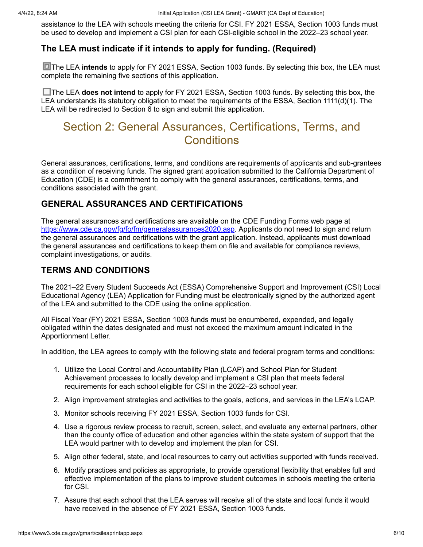assistance to the LEA with schools meeting the criteria for CSI. FY 2021 ESSA, Section 1003 funds must be used to develop and implement a CSI plan for each CSI-eligible school in the 2022–23 school year.

#### **The LEA must indicate if it intends to apply for funding. (Required)**

**The LEA intends** to apply for FY 2021 ESSA, Section 1003 funds. By selecting this box, the LEA must complete the remaining five sections of this application.

□ The LEA **does not intend** to apply for FY 2021 ESSA, Section 1003 funds. By selecting this box, the LEA understands its statutory obligation to meet the requirements of the ESSA, Section 1111(d)(1). The LEA will be redirected to Section 6 to sign and submit this application.

## Section 2: General Assurances, Certifications, Terms, and **Conditions**

General assurances, certifications, terms, and conditions are requirements of applicants and sub-grantees as a condition of receiving funds. The signed grant application submitted to the California Department of Education (CDE) is a commitment to comply with the general assurances, certifications, terms, and conditions associated with the grant.

### **GENERAL ASSURANCES AND CERTIFICATIONS**

The general assurances and certifications are available on the CDE Funding Forms web page at [https://www.cde.ca.gov/fg/fo/fm/generalassurances2020.asp.](https://www.cde.ca.gov/fg/fo/fm/generalassurances2020.asp) Applicants do not need to sign and return the general assurances and certifications with the grant application. Instead, applicants must download the general assurances and certifications to keep them on file and available for compliance reviews, complaint investigations, or audits.

### **TERMS AND CONDITIONS**

The 2021–22 Every Student Succeeds Act (ESSA) Comprehensive Support and Improvement (CSI) Local Educational Agency (LEA) Application for Funding must be electronically signed by the authorized agent of the LEA and submitted to the CDE using the online application.

All Fiscal Year (FY) 2021 ESSA, Section 1003 funds must be encumbered, expended, and legally obligated within the dates designated and must not exceed the maximum amount indicated in the Apportionment Letter.

In addition, the LEA agrees to comply with the following state and federal program terms and conditions:

- 1. Utilize the Local Control and Accountability Plan (LCAP) and School Plan for Student Achievement processes to locally develop and implement a CSI plan that meets federal requirements for each school eligible for CSI in the 2022–23 school year.
- 2. Align improvement strategies and activities to the goals, actions, and services in the LEA's LCAP.
- 3. Monitor schools receiving FY 2021 ESSA, Section 1003 funds for CSI.
- 4. Use a rigorous review process to recruit, screen, select, and evaluate any external partners, other than the county office of education and other agencies within the state system of support that the LEA would partner with to develop and implement the plan for CSI.
- 5. Align other federal, state, and local resources to carry out activities supported with funds received.
- 6. Modify practices and policies as appropriate, to provide operational flexibility that enables full and effective implementation of the plans to improve student outcomes in schools meeting the criteria for CSI.
- 7. Assure that each school that the LEA serves will receive all of the state and local funds it would have received in the absence of FY 2021 ESSA, Section 1003 funds.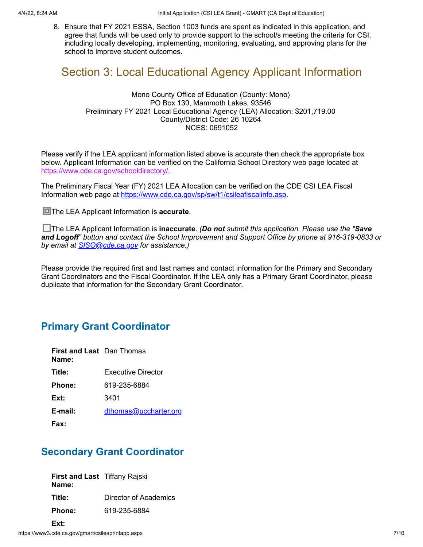8. Ensure that FY 2021 ESSA, Section 1003 funds are spent as indicated in this application, and agree that funds will be used only to provide support to the school/s meeting the criteria for CSI, including locally developing, implementing, monitoring, evaluating, and approving plans for the school to improve student outcomes.

## Section 3: Local Educational Agency Applicant Information

Mono County Office of Education (County: Mono) PO Box 130, Mammoth Lakes, 93546 Preliminary FY 2021 Local Educational Agency (LEA) Allocation: \$201,719.00 County/District Code: 26 10264 NCES: 0691052

Please verify if the LEA applicant information listed above is accurate then check the appropriate box below. Applicant Information can be verified on the California School Directory web page located at <https://www.cde.ca.gov/schooldirectory/>.

The Preliminary Fiscal Year (FY) 2021 LEA Allocation can be verified on the CDE CSI LEA Fiscal Information web page at<https://www.cde.ca.gov/sp/sw/t1/csileafiscalinfo.asp>.

**The LEA Applicant Information is accurate.** 

The LEA Applicant Information is **inaccurate**. *(Do not submit this application. Please use the "Save and Logoff" button and contact the School Improvement and Support Office by phone at 916-319-0833 or by email at [SISO@cde.ca.gov](mailto:SISO@cde.ca.gov) for assistance.)*

Please provide the required first and last names and contact information for the Primary and Secondary Grant Coordinators and the Fiscal Coordinator. If the LEA only has a Primary Grant Coordinator, please duplicate that information for the Secondary Grant Coordinator.

### **Primary Grant Coordinator**

| <b>First and Last</b> Dan Thomas<br>Name: |                       |
|-------------------------------------------|-----------------------|
| Title:                                    | Executive Director    |
| Phone:                                    | 619-235-6884          |
| Ext:                                      | 3401                  |
| E-mail:                                   | dthomas@uccharter.org |
| Fax:                                      |                       |

### **Secondary Grant Coordinator**

**First and Last** Tiffany Rajski **Name: Title:** Director of Academics **Phone:** 619-235-6884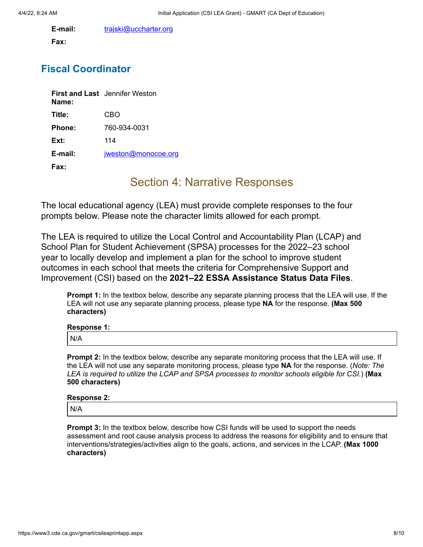**E-mail:** [trajski@uccharter.org](mailto:trajski@uccharter.org)

**Fax:**

### **Fiscal Coordinator**

| Name:            | <b>First and Last</b> Jennifer Weston |
|------------------|---------------------------------------|
| Title:           | CBO                                   |
| Phone:           | 760-934-0031                          |
| Ext:             | 114                                   |
| $E$ -mail:       | jweston@monocoe.org                   |
| Fax <sup>.</sup> |                                       |

## Section 4: Narrative Responses

The local educational agency (LEA) must provide complete responses to the four prompts below. Please note the character limits allowed for each prompt.

The LEA is required to utilize the Local Control and Accountability Plan (LCAP) and School Plan for Student Achievement (SPSA) processes for the 2022–23 school year to locally develop and implement a plan for the school to improve student outcomes in each school that meets the criteria for Comprehensive Support and Improvement (CSI) based on the **2021–22 ESSA Assistance Status Data Files**.

**Prompt 1:** In the textbox below, describe any separate planning process that the LEA will use. If the LEA will not use any separate planning process, please type **NA** for the response. **(Max 500 characters)**

| Response 1: |  |
|-------------|--|
| N/A         |  |

**Prompt 2:** In the textbox below, describe any separate monitoring process that the LEA will use. If the LEA will not use any separate monitoring process, please type **NA** for the response. (*Note: The LEA is required to utilize the LCAP and SPSA processes to monitor schools eligible for CSI.*) **(Max 500 characters)**

## **Response 2:** N/A

**Prompt 3:** In the textbox below, describe how CSI funds will be used to support the needs assessment and root cause analysis process to address the reasons for eligibility and to ensure that interventions/strategies/activities align to the goals, actions, and services in the LCAP. **(Max 1000 characters)**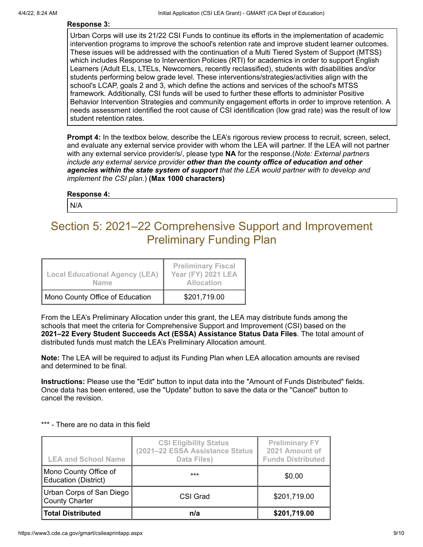#### **Response 3:**

Urban Corps will use its 21/22 CSI Funds to continue its efforts in the implementation of academic intervention programs to improve the school's retention rate and improve student learner outcomes. These issues will be addressed with the continuation of a Multi Tiered System of Support (MTSS) which includes Response to Intervention Policies (RTI) for academics in order to support English Learners (Adult ELs, LTELs, Newcomers, recently reclassified), students with disabilities and/or students performing below grade level. These interventions/strategies/activities align with the school's LCAP, goals 2 and 3, which define the actions and services of the school's MTSS framework. Additionally, CSI funds will be used to further these efforts to administer Positive Behavior Intervention Strategies and community engagement efforts in order to improve retention. A needs assessment identified the root cause of CSI identification (low grad rate) was the result of low student retention rates.

**Prompt 4:** In the textbox below, describe the LEA's rigorous review process to recruit, screen, select, and evaluate any external service provider with whom the LEA will partner. If the LEA will not partner with any external service provider/s/, please type **NA** for the response.(*Note: External partners include any external service provider other than the county office of education and other agencies within the state system of support that the LEA would partner with to develop and implement the CSI plan.*) **(Max 1000 characters)**

#### **Response 4:**

N/A

## Section 5: 2021–22 Comprehensive Support and Improvement Preliminary Funding Plan

| <b>Local Educational Agency (LEA)</b><br><b>Name</b> | <b>Preliminary Fiscal</b><br><b>Year (FY) 2021 LEA</b><br><b>Allocation</b> |
|------------------------------------------------------|-----------------------------------------------------------------------------|
| Mono County Office of Education                      | \$201,719.00                                                                |

From the LEA's Preliminary Allocation under this grant, the LEA may distribute funds among the schools that meet the criteria for Comprehensive Support and Improvement (CSI) based on the **2021–22 Every Student Succeeds Act (ESSA) Assistance Status Data Files**. The total amount of distributed funds must match the LEA's Preliminary Allocation amount.

**Note:** The LEA will be required to adjust its Funding Plan when LEA allocation amounts are revised and determined to be final.

**Instructions:** Please use the "Edit" button to input data into the "Amount of Funds Distributed" fields. Once data has been entered, use the "Update" button to save the data or the "Cancel" button to cancel the revision.

| <b>LEA and School Name</b>                           | <b>CSI Eligibility Status</b><br>(2021-22 ESSA Assistance Status<br><b>Data Files)</b> | <b>Preliminary FY</b><br>2021 Amount of<br><b>Funds Distributed</b> |
|------------------------------------------------------|----------------------------------------------------------------------------------------|---------------------------------------------------------------------|
| Mono County Office of<br><b>Education (District)</b> | $***$                                                                                  | \$0.00                                                              |
| Urban Corps of San Diego<br><b>County Charter</b>    | CSI Grad                                                                               | \$201,719.00                                                        |
| <b>Total Distributed</b>                             | n/a                                                                                    | \$201,719.00                                                        |

#### \*\*\* - There are no data in this field